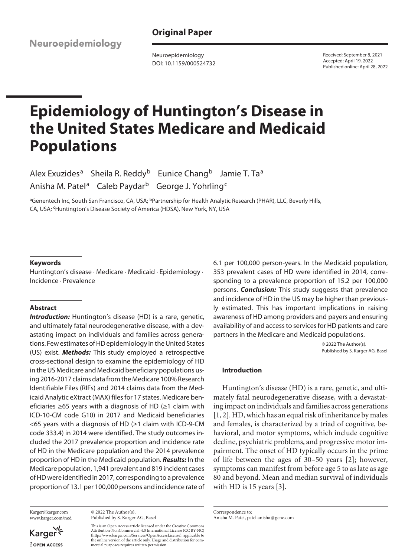Neuroepidemiology

**Original Paper**

Neuroepidemiology DOI: 10.1159/000524732 Received: September 8, 2021 Accepted: April 19, 2022 Published online: April 28, 2022

# **Epidemiology of Huntington's Disease in the United States Medicare and Medicaid Populations**

Alex Exuzides<sup>a</sup> Sheila R. Reddy<sup>b</sup> Eunice Chang<sup>b</sup> Jamie T. Ta<sup>a</sup> Anisha M. Patel<sup>a</sup> Caleb Paydar<sup>b</sup> George J. Yohrling<sup>c</sup>

<sup>a</sup>Genentech Inc, South San Francisco, CA, USA; <sup>b</sup>Partnership for Health Analytic Research (PHAR), LLC, Beverly Hills, CA, USA; 'Huntington's Disease Society of America (HDSA), New York, NY, USA

## **Keywords**

Huntington's disease · Medicare · Medicaid · Epidemiology · Incidence · Prevalence

## **Abstract**

**Introduction:** Huntington's disease (HD) is a rare, genetic, and ultimately fatal neurodegenerative disease, with a devastating impact on individuals and families across generations. Few estimates of HD epidemiology in the United States (US) exist. *Methods:* This study employed a retrospective cross-sectional design to examine the epidemiology of HD in the US Medicare and Medicaid beneficiary populations using 2016-2017 claims data from the Medicare 100% Research Identifiable Files (RIFs) and 2014 claims data from the Medicaid Analytic eXtract (MAX) files for 17 states. Medicare beneficiaries ≥65 years with a diagnosis of HD (≥1 claim with ICD-10-CM code G10) in 2017 and Medicaid beneficiaries <65 years with a diagnosis of HD (≥1 claim with ICD-9-CM code 333.4) in 2014 were identified. The study outcomes included the 2017 prevalence proportion and incidence rate of HD in the Medicare population and the 2014 prevalence proportion of HD in the Medicaid population. *Results:* In the Medicare population, 1,941 prevalent and 819 incident cases of HD were identified in 2017, corresponding to a prevalence proportion of 13.1 per 100,000 persons and incidence rate of

Karger@karger.com www.karger.com/ned

Karger **ROPEN ACCESS** 

© 2022 The Author(s). Published by S. Karger AG, Basel

This is an Open Access article licensed under the Creative Commons Attribution-NonCommercial-4.0 International License (CC BY-NC) (http://www.karger.com/Services/OpenAccessLicense), applicable to the online version of the article only. Usage and distribution for commercial purposes requires written permission.

6.1 per 100,000 person-years. In the Medicaid population, 353 prevalent cases of HD were identified in 2014, corresponding to a prevalence proportion of 15.2 per 100,000 persons. *Conclusion:* This study suggests that prevalence and incidence of HD in the US may be higher than previously estimated. This has important implications in raising awareness of HD among providers and payers and ensuring availability of and access to services for HD patients and care partners in the Medicare and Medicaid populations.

> © 2022 The Author(s). Published by S. Karger AG, Basel

# **Introduction**

<span id="page-0-0"></span>Huntington's disease (HD) is a rare, genetic, and ultimately fatal neurodegenerative disease, with a devastating impact on individuals and families across generations [[1](#page-8-0), [2\]](#page-8-1). HD, which has an equal risk of inheritance by males and females, is characterized by a triad of cognitive, behavioral, and motor symptoms, which include cognitive decline, psychiatric problems, and progressive motor impairment. The onset of HD typically occurs in the prime of life between the ages of 30–50 years [\[2\]](#page-8-1); however, symptoms can manifest from before age 5 to as late as age 80 and beyond. Mean and median survival of individuals with HD is 15 years [[3](#page-8-2)].

<span id="page-0-1"></span>Correspondence to: Anisha M. Patel, patel.anisha@gene.com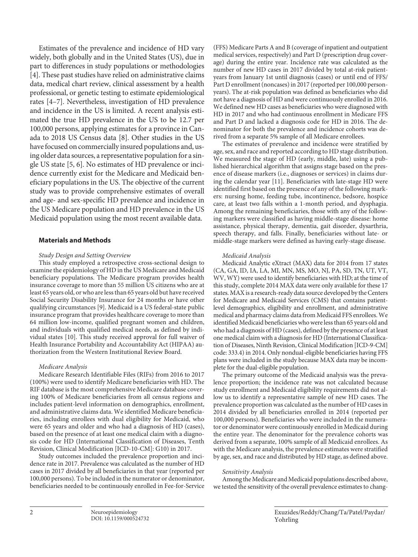<span id="page-1-2"></span><span id="page-1-1"></span><span id="page-1-0"></span>Estimates of the prevalence and incidence of HD vary widely, both globally and in the United States (US), due in part to differences in study populations or methodologies [\[4](#page-8-3)]. These past studies have relied on administrative claims data, medical chart review, clinical assessment by a health professional, or genetic testing to estimate epidemiological rates [[4](#page-8-3)–[7\]](#page-8-4). Nevertheless, investigation of HD prevalence and incidence in the US is limited. A recent analysis estimated the true HD prevalence in the US to be 12.7 per 100,000 persons, applying estimates for a province in Canada to 2018 US Census data [[8\]](#page-8-5). Other studies in the US have focused on commercially insured populations and, using older data sources, a representative population for a single US state [[5,](#page-8-6) [6](#page-8-7)]. No estimates of HD prevalence or incidence currently exist for the Medicare and Medicaid beneficiary populations in the US. The objective of the current study was to provide comprehensive estimates of overall and age- and sex-specific HD prevalence and incidence in the US Medicare population and HD prevalence in the US Medicaid population using the most recent available data.

## **Materials and Methods**

## *Study Design and Setting Overview*

<span id="page-1-3"></span>This study employed a retrospective cross-sectional design to examine the epidemiology of HD in the US Medicare and Medicaid beneficiary populations. The Medicare program provides health insurance coverage to more than 55 million US citizens who are at least 65 years old, or who are less than 65 years old but have received Social Security Disability Insurance for 24 months or have other qualifying circumstances [[9](#page-8-8)]. Medicaid is a US federal-state public insurance program that provides healthcare coverage to more than 64 million low-income, qualified pregnant women and children, and individuals with qualified medical needs, as defined by individual states [[1](#page-8-0)0]. This study received approval for full waiver of Health Insurance Portability and Accountability Act (HIPAA) authorization from the Western Institutional Review Board.

## *Medicare Analysis*

Medicare Research Identifiable Files (RIFs) from 2016 to 2017 (100%) were used to identify Medicare beneficiaries with HD. The RIF database is the most comprehensive Medicare database covering 100% of Medicare beneficiaries from all census regions and includes patient-level information on demographics, enrollment, and administrative claims data. We identified Medicare beneficiaries, including enrollees with dual eligibility for Medicaid, who were 65 years and older and who had a diagnosis of HD (cases), based on the presence of at least one medical claim with a diagnosis code for HD (International Classification of Diseases, Tenth Revision, Clinical Modification [ICD-10-CM]: G10) in 2017.

Study outcomes included the prevalence proportion and incidence rate in 2017. Prevalence was calculated as the number of HD cases in 2017 divided by all beneficiaries in that year (reported per 100,000 persons). To be included in the numerator or denominator, beneficiaries needed to be continuously enrolled in Fee-for-Service (FFS) Medicare Parts A and B (coverage of inpatient and outpatient medical services, respectively) and Part D (prescription drug coverage) during the entire year. Incidence rate was calculated as the number of new HD cases in 2017 divided by total at-risk patientyears from January 1st until diagnosis (cases) or until end of FFS/ Part D enrollment (noncases) in 2017 (reported per 100,000 personyears). The at-risk population was defined as beneficiaries who did not have a diagnosis of HD and were continuously enrolled in 2016. We defined new HD cases as beneficiaries who were diagnosed with HD in 2017 and who had continuous enrollment in Medicare FFS and Part D and lacked a diagnosis code for HD in 2016. The denominator for both the prevalence and incidence cohorts was derived from a separate 5% sample of all Medicare enrollees.

The estimates of prevalence and incidence were stratified by age, sex, and race and reported according to HD stage distribution. We measured the stage of HD (early, middle, late) using a published hierarchical algorithm that assigns stage based on the presence of disease markers (i.e., diagnoses or services) in claims during the calendar year [[11\]](#page-8-0). Beneficiaries with late-stage HD were identified first based on the presence of any of the following markers: nursing home, feeding tube, incontinence, bedsore, hospice care, at least two falls within a 1-month period, and dysphagia. Among the remaining beneficiaries, those with any of the following markers were classified as having middle-stage disease: home assistance, physical therapy, dementia, gait disorder, dysarthria, speech therapy, and falls. Finally, beneficiaries without late- or middle-stage markers were defined as having early-stage disease.

#### *Medicaid Analysis*

Medicaid Analytic eXtract (MAX) data for 2014 from 17 states (CA, GA, ID, IA, LA, MI, MN, MS, MO, NJ, PA, SD, TN, UT, VT, WV, WY) were used to identify beneficiaries with HD; at the time of this study, complete 2014 MAX data were only available for these 17 states. MAX is a research-ready data source developed by the Centers for Medicare and Medicaid Services (CMS) that contains patientlevel demographics, eligibility and enrollment, and administrative medical and pharmacy claims data from Medicaid FFS enrollees. We identified Medicaid beneficiaries who were less than 65 years old and who had a diagnosis of HD (cases), defined by the presence of at least one medical claim with a diagnosis for HD (International Classification of Diseases, Ninth Revision, Clinical Modification [ICD-9-CM] code: 333.4) in 2014. Only nondual-eligible beneficiaries having FFS plans were included in the study because MAX data may be incomplete for the dual-eligible population.

The primary outcome of the Medicaid analysis was the prevalence proportion; the incidence rate was not calculated because study enrollment and Medicaid eligibility requirements did not allow us to identify a representative sample of new HD cases. The prevalence proportion was calculated as the number of HD cases in 2014 divided by all beneficiaries enrolled in 2014 (reported per 100,000 persons). Beneficiaries who were included in the numerator or denominator were continuously enrolled in Medicaid during the entire year. The denominator for the prevalence cohorts was derived from a separate, 100% sample of all Medicaid enrollees. As with the Medicare analysis, the prevalence estimates were stratified by age, sex, and race and distributed by HD stage, as defined above.

## *Sensitivity Analysis*

Among the Medicare and Medicaid populations described above, we tested the sensitivity of the overall prevalence estimates to chang-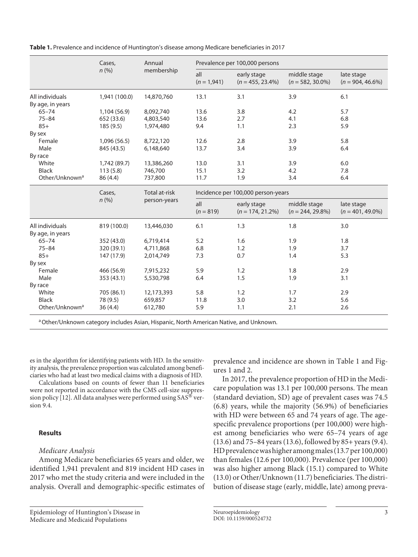|  | Table 1. Prevalence and incidence of Huntington's disease among Medicare beneficiaries in 2017 |  |
|--|------------------------------------------------------------------------------------------------|--|
|--|------------------------------------------------------------------------------------------------|--|

|                            | Cases,<br>n (%) | Annual<br>membership | Prevalence per 100,000 persons     |                                    |                                     |                                   |
|----------------------------|-----------------|----------------------|------------------------------------|------------------------------------|-------------------------------------|-----------------------------------|
|                            |                 |                      | all<br>$(n = 1,941)$               | early stage<br>$(n = 455, 23.4\%)$ | middle stage<br>$(n = 582, 30.0\%)$ | late stage<br>$(n = 904, 46.6\%)$ |
| All individuals            | 1,941 (100.0)   | 14,870,760           | 13.1                               | 3.1                                | 3.9                                 | 6.1                               |
| By age, in years           |                 |                      |                                    |                                    |                                     |                                   |
| $65 - 74$                  | 1,104 (56.9)    | 8,092,740            | 13.6                               | 3.8                                | 4.2                                 | 5.7                               |
| $75 - 84$                  | 652 (33.6)      | 4,803,540            | 13.6                               | 2.7                                | 4.1                                 | 6.8                               |
| $85+$                      | 185(9.5)        | 1,974,480            | 9.4                                | 1.1                                | 2.3                                 | 5.9                               |
| By sex                     |                 |                      |                                    |                                    |                                     |                                   |
| Female                     | 1,096 (56.5)    | 8,722,120            | 12.6                               | 2.8                                | 3.9                                 | 5.8                               |
| Male                       | 845 (43.5)      | 6.148.640            | 13.7                               | 3.4                                | 3.9                                 | 6.4                               |
| By race                    |                 |                      |                                    |                                    |                                     |                                   |
| White                      | 1,742 (89.7)    | 13,386,260           | 13.0                               | 3.1                                | 3.9                                 | 6.0                               |
| <b>Black</b>               | 113(5.8)        | 746,700              | 15.1                               | 3.2                                | 4.2                                 | 7.8                               |
| Other/Unknown <sup>a</sup> | 86 (4.4)        | 737,800              | 11.7                               | 1.9                                | 3.4                                 | 6.4                               |
|                            | Cases,<br>n(%)  | <b>Total at-risk</b> | Incidence per 100,000 person-years |                                    |                                     |                                   |
|                            |                 | person-years         | all<br>$(n = 819)$                 | early stage<br>$(n = 174, 21.2\%)$ | middle stage<br>$(n = 244, 29.8\%)$ | late stage<br>$(n = 401, 49.0\%)$ |
| All individuals            | 819 (100.0)     | 13,446,030           | 6.1                                | 1.3                                | 1.8                                 | 3.0                               |
| By age, in years           |                 |                      |                                    |                                    |                                     |                                   |
| $65 - 74$                  | 352 (43.0)      | 6,719,414            | 5.2                                | 1.6                                | 1.9                                 | 1.8                               |
| $75 - 84$                  | 320 (39.1)      | 4,711,868            | 6.8                                | 1.2                                | 1.9                                 | 3.7                               |
| $85+$                      | 147 (17.9)      | 2,014,749            | 7.3                                | 0.7                                | 1.4                                 | 5.3                               |
| By sex                     |                 |                      |                                    |                                    |                                     |                                   |
| Female                     | 466 (56.9)      | 7,915,232            | 5.9                                | 1.2                                | 1.8                                 | 2.9                               |
| Male                       | 353 (43.1)      | 5,530,798            | 6.4                                | 1.5                                | 1.9                                 | 3.1                               |
| By race                    |                 |                      |                                    |                                    |                                     |                                   |
| White                      | 705 (86.1)      | 12,173,393           | 5.8                                | 1.2                                | 1.7                                 | 2.9                               |
| <b>Black</b>               | 78 (9.5)        | 659,857              | 11.8                               | 3.0                                | 3.2                                 | 5.6                               |
| Other/Unknown <sup>a</sup> | 36(4.4)         | 612,780              | 5.9                                | 1.1                                | 2.1                                 | 2.6                               |

a Other/Unknown category includes Asian, Hispanic, North American Native, and Unknown.

es in the algorithm for identifying patients with HD. In the sensitivity analysis, the prevalence proportion was calculated among beneficiaries who had at least two medical claims with a diagnosis of HD.

Calculations based on counts of fewer than 11 beneficiaries were not reported in accordance with the CMS cell-size suppres-sion policy [\[1](#page-8-0)[2](#page-8-1)]. All data analyses were performed using  $SAS^{\circledR}$  version 9.4.

# **Results**

# *Medicare Analysis*

Among Medicare beneficiaries 65 years and older, we identified 1,941 prevalent and 819 incident HD cases in 2017 who met the study criteria and were included in the analysis. Overall and demographic-specific estimates of

Epidemiology of Huntington's Disease in Medicare and Medicaid Populations

prevalence and incidence are shown in Table 1 and Figures 1 and 2.

In 2017, the prevalence proportion of HD in the Medicare population was 13.1 per 100,000 persons. The mean (standard deviation, SD) age of prevalent cases was 74.5 (6.8) years, while the majority (56.9%) of beneficiaries with HD were between 65 and 74 years of age. The agespecific prevalence proportions (per 100,000) were highest among beneficiaries who were 65–74 years of age (13.6) and 75–84 years (13.6), followed by 85+ years (9.4). HD prevalence was higher among males (13.7 per 100,000) than females (12.6 per 100,000). Prevalence (per 100,000) was also higher among Black (15.1) compared to White (13.0) or Other/Unknown (11.7) beneficiaries. The distribution of disease stage (early, middle, late) among preva-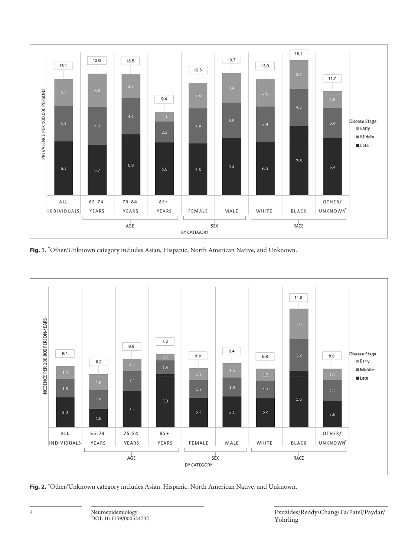

**Fig. 1.** † Other/Unknown category includes Asian, Hispanic, North American Native, and Unknown.



**Fig. 2.** † Other/Unknown category includes Asian, Hispanic, North American Native, and Unknown.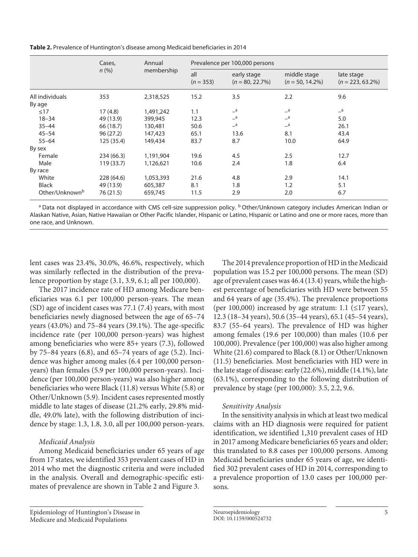**Table 2.** Prevalence of Huntington's disease among Medicaid beneficiaries in 2014

|                            | Cases,<br>$n$ (%) | Annual<br>membership | Prevalence per 100,000 persons |                                   |                                    |                                   |  |
|----------------------------|-------------------|----------------------|--------------------------------|-----------------------------------|------------------------------------|-----------------------------------|--|
|                            |                   |                      | all<br>$(n = 353)$             | early stage<br>$(n = 80, 22.7\%)$ | middle stage<br>$(n = 50, 14.2\%)$ | late stage<br>$(n = 223, 63.2\%)$ |  |
| All individuals            | 353               | 2,318,525            | 15.2                           | 3.5                               | 2.2                                | 9.6                               |  |
| By age                     |                   |                      |                                |                                   |                                    |                                   |  |
| $\leq 17$                  | 17(4.8)           | 1,491,242            | 1.1                            | a                                 | a                                  | a                                 |  |
| $18 - 34$                  | 49 (13.9)         | 399,945              | 12.3                           | a                                 | a                                  | 5.0                               |  |
| $35 - 44$                  | 66 (18.7)         | 130,481              | 50.6                           | a                                 | a                                  | 26.1                              |  |
| $45 - 54$                  | 96(27.2)          | 147,423              | 65.1                           | 13.6                              | 8.1                                | 43.4                              |  |
| $55 - 64$                  | 125 (35.4)        | 149,434              | 83.7                           | 8.7                               | 10.0                               | 64.9                              |  |
| By sex                     |                   |                      |                                |                                   |                                    |                                   |  |
| Female                     | 234 (66.3)        | 1,191,904            | 19.6                           | 4.5                               | 2.5                                | 12.7                              |  |
| Male                       | 119 (33.7)        | 1,126,621            | 10.6                           | 2.4                               | 1.8                                | 6.4                               |  |
| By race                    |                   |                      |                                |                                   |                                    |                                   |  |
| White                      | 228 (64.6)        | 1,053,393            | 21.6                           | 4.8                               | 2.9                                | 14.1                              |  |
| <b>Black</b>               | 49 (13.9)         | 605,387              | 8.1                            | 1.8                               | 1.2                                | 5.1                               |  |
| Other/Unknown <sup>b</sup> | 76 (21.5)         | 659,745              | 11.5                           | 2.9                               | 2.0                                | 6.7                               |  |

<sup>a</sup> Data not displayed in accordance with CMS cell-size suppression policy. <sup>b</sup> Other/Unknown category includes American Indian or Alaskan Native, Asian, Native Hawaiian or Other Pacific Islander, Hispanic or Latino, Hispanic or Latino and one or more races, more than one race, and Unknown.

lent cases was 23.4%, 30.0%, 46.6%, respectively, which was similarly reflected in the distribution of the prevalence proportion by stage (3.1, 3.9, 6.1; all per 100,000).

The 2017 incidence rate of HD among Medicare beneficiaries was 6.1 per 100,000 person-years. The mean (SD) age of incident cases was 77.1 (7.4) years, with most beneficiaries newly diagnosed between the age of 65–74 years (43.0%) and 75–84 years (39.1%). The age-specific incidence rate (per 100,000 person-years) was highest among beneficiaries who were 85+ years (7.3), followed by 75–84 years (6.8), and 65–74 years of age (5.2). Incidence was higher among males (6.4 per 100,000 personyears) than females (5.9 per 100,000 person-years). Incidence (per 100,000 person-years) was also higher among beneficiaries who were Black (11.8) versus White (5.8) or Other/Unknown (5.9). Incident cases represented mostly middle to late stages of disease (21.2% early, 29.8% middle, 49.0% late), with the following distribution of incidence by stage: 1.3, 1.8, 3.0, all per 100,000 person-years.

# *Medicaid Analysis*

Among Medicaid beneficiaries under 65 years of age from 17 states, we identified 353 prevalent cases of HD in 2014 who met the diagnostic criteria and were included in the analysis. Overall and demographic-specific estimates of prevalence are shown in Table 2 and Figure 3.

Epidemiology of Huntington's Disease in Medicare and Medicaid Populations

The 2014 prevalence proportion of HD in the Medicaid population was 15.2 per 100,000 persons. The mean (SD) age of prevalent cases was 46.4 (13.4) years, while the highest percentage of beneficiaries with HD were between 55 and 64 years of age (35.4%). The prevalence proportions (per 100,000) increased by age stratum: 1.1 ( $\leq$ 17 years), 12.3 (18–34 years), 50.6 (35–44 years), 65.1 (45–54 years), 83.7 (55–64 years). The prevalence of HD was higher among females (19.6 per 100,000) than males (10.6 per 100,000). Prevalence (per 100,000) was also higher among White (21.6) compared to Black (8.1) or Other/Unknown (11.5) beneficiaries. Most beneficiaries with HD were in the late stage of disease: early (22.6%), middle (14.1%), late (63.1%), corresponding to the following distribution of prevalence by stage (per 100,000): 3.5, 2.2, 9.6.

# *Sensitivity Analysis*

In the sensitivity analysis in which at least two medical claims with an HD diagnosis were required for patient identification, we identified 1,310 prevalent cases of HD in 2017 among Medicare beneficiaries 65 years and older; this translated to 8.8 cases per 100,000 persons. Among Medicaid beneficiaries under 65 years of age, we identified 302 prevalent cases of HD in 2014, corresponding to a prevalence proportion of 13.0 cases per 100,000 persons.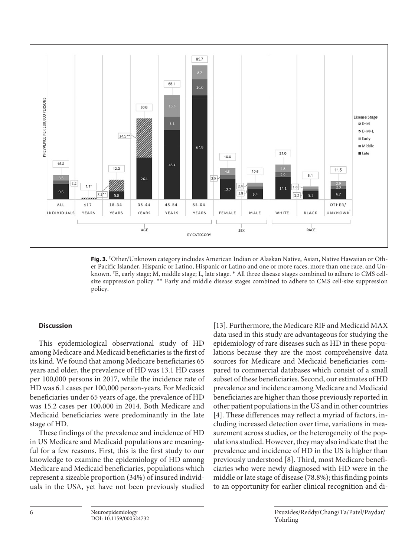

**Fig. 3.** † Other/Unknown category includes American Indian or Alaskan Native, Asian, Native Hawaiian or Other Pacific Islander, Hispanic or Latino, Hispanic or Latino and one or more races, more than one race, and Unknown. ‡ E, early stage; M, middle stage; L, late stage. \* All three disease stages combined to adhere to CMS cellsize suppression policy. \*\* Early and middle disease stages combined to adhere to CMS cell-size suppression policy.

# **Discussion**

This epidemiological observational study of HD among Medicare and Medicaid beneficiaries is the first of its kind. We found that among Medicare beneficiaries 65 years and older, the prevalence of HD was 13.1 HD cases per 100,000 persons in 2017, while the incidence rate of HD was 6.1 cases per 100,000 person-years. For Medicaid beneficiaries under 65 years of age, the prevalence of HD was 15.2 cases per 100,000 in 2014. Both Medicare and Medicaid beneficiaries were predominantly in the late stage of HD.

These findings of the prevalence and incidence of HD in US Medicare and Medicaid populations are meaningful for a few reasons. First, this is the first study to our knowledge to examine the epidemiology of HD among Medicare and Medicaid beneficiaries, populations which represent a sizeable proportion (34%) of insured individuals in the USA, yet have not been previously studied [[1](#page-8-0)[3](#page-8-2)]. Furthermore, the Medicare RIF and Medicaid MAX data used in this study are advantageous for studying the epidemiology of rare diseases such as HD in these populations because they are the most comprehensive data sources for Medicare and Medicaid beneficiaries compared to commercial databases which consist of a small subset of these beneficiaries. Second, our estimates of HD prevalence and incidence among Medicare and Medicaid beneficiaries are higher than those previously reported in other patient populations in the US and in other countries [[4](#page-8-3)]. These differences may reflect a myriad of factors, including increased detection over time, variations in measurement across studies, or the heterogeneity of the populations studied. However, they may also indicate that the prevalence and incidence of HD in the US is higher than previously understood [\[8\]](#page-8-5). Third, most Medicare beneficiaries who were newly diagnosed with HD were in the middle or late stage of disease (78.8%); this finding points to an opportunity for earlier clinical recognition and di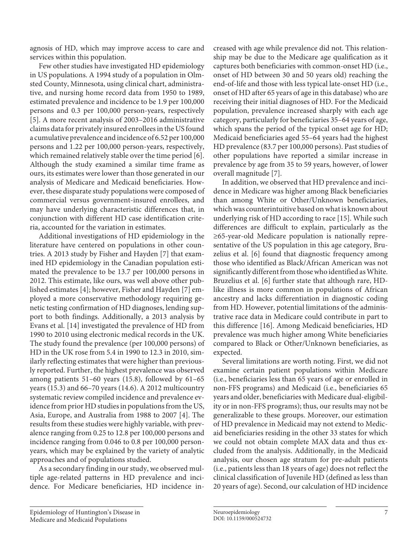agnosis of HD, which may improve access to care and services within this population.

Few other studies have investigated HD epidemiology in US populations. A 1994 study of a population in Olmsted County, Minnesota, using clinical chart, administrative, and nursing home record data from 1950 to 1989, estimated prevalence and incidence to be 1.9 per 100,000 persons and 0.3 per 100,000 person-years, respectively [\[5\]](#page-8-6). A more recent analysis of 2003–2016 administrative claims data for privately insured enrollees in the US found a cumulative prevalence and incidence of 6.52 per 100,000 persons and 1.22 per 100,000 person-years, respectively, which remained relatively stable over the time period [[6\]](#page-8-7). Although the study examined a similar time frame as ours, its estimates were lower than those generated in our analysis of Medicare and Medicaid beneficiaries. However, these disparate study populations were composed of commercial versus government-insured enrollees, and may have underlying characteristic differences that, in conjunction with different HD case identification criteria, accounted for the variation in estimates.

Additional investigations of HD epidemiology in the literature have centered on populations in other countries. A 2013 study by Fisher and Hayden [[7](#page-8-4)] that examined HD epidemiology in the Canadian population estimated the prevalence to be 13.7 per 100,000 persons in 2012. This estimate, like ours, was well above other published estimates [[4\]](#page-8-3); however, Fisher and Hayden [\[7\]](#page-8-4) employed a more conservative methodology requiring genetic testing confirmation of HD diagnoses, lending support to both findings. Additionally, a 2013 analysis by Evans et al. [[1](#page-8-0)[4\]](#page-8-3) investigated the prevalence of HD from 1990 to 2010 using electronic medical records in the UK. The study found the prevalence (per 100,000 persons) of HD in the UK rose from 5.4 in 1990 to 12.3 in 2010, similarly reflecting estimates that were higher than previously reported. Further, the highest prevalence was observed among patients 51–60 years (15.8), followed by 61–65 years (15.3) and 66–70 years (14.6). A 2012 multicountry systematic review compiled incidence and prevalence evidence from prior HD studies in populations from the US, Asia, Europe, and Australia from 1988 to 2007 [\[4](#page-8-3)]. The results from these studies were highly variable, with prevalence ranging from 0.25 to 12.8 per 100,000 persons and incidence ranging from 0.046 to 0.8 per 100,000 personyears, which may be explained by the variety of analytic approaches and of populations studied.

As a secondary finding in our study, we observed multiple age-related patterns in HD prevalence and incidence. For Medicare beneficiaries, HD incidence in-

Epidemiology of Huntington's Disease in Medicare and Medicaid Populations

creased with age while prevalence did not. This relationship may be due to the Medicare age qualification as it captures both beneficiaries with common-onset HD (i.e., onset of HD between 30 and 50 years old) reaching the end-of-life and those with less typical late-onset HD (i.e., onset of HD after 65 years of age in this database) who are receiving their initial diagnoses of HD. For the Medicaid population, prevalence increased sharply with each age category, particularly for beneficiaries 35–64 years of age, which spans the period of the typical onset age for HD; Medicaid beneficiaries aged 55–64 years had the highest HD prevalence (83.7 per 100,000 persons). Past studies of other populations have reported a similar increase in prevalence by age from 35 to 59 years, however, of lower overall magnitude [\[7\]](#page-8-4).

In addition, we observed that HD prevalence and incidence in Medicare was higher among Black beneficiaries than among White or Other/Unknown beneficiaries, which was counterintuitive based on what is known about underlying risk of HD according to race [\[1](#page-8-0)[5\]](#page-8-6). While such differences are difficult to explain, particularly as the ≥65-year-old Medicare population is nationally representative of the US population in this age category, Bruzelius et al. [[6](#page-8-7)] found that diagnostic frequency among those who identified as Black/African American was not significantly different from those who identified as White. Bruzelius et al. [\[6\]](#page-8-7) further state that although rare, HDlike illness is more common in populations of African ancestry and lacks differentiation in diagnostic coding from HD. However, potential limitations of the administrative race data in Medicare could contribute in part to this difference [\[1](#page-8-0)[6\]](#page-8-7). Among Medicaid beneficiaries, HD prevalence was much higher among White beneficiaries compared to Black or Other/Unknown beneficiaries, as expected.

Several limitations are worth noting. First, we did not examine certain patient populations within Medicare (i.e., beneficiaries less than 65 years of age or enrolled in non-FFS programs) and Medicaid (i.e., beneficiaries 65 years and older, beneficiaries with Medicare dual-eligibility or in non-FFS programs); thus, our results may not be generalizable to these groups. Moreover, our estimation of HD prevalence in Medicaid may not extend to Medicaid beneficiaries residing in the other 33 states for which we could not obtain complete MAX data and thus excluded from the analysis. Additionally, in the Medicaid analysis, our chosen age stratum for pre-adult patients (i.e., patients less than 18 years of age) does not reflect the clinical classification of Juvenile HD (defined as less than 20 years of age). Second, our calculation of HD incidence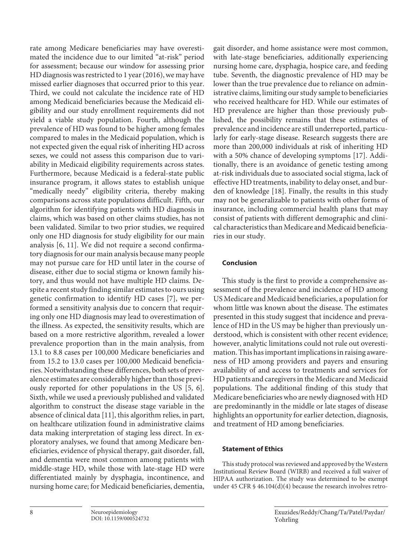rate among Medicare beneficiaries may have overestimated the incidence due to our limited "at-risk" period for assessment; because our window for assessing prior HD diagnosis was restricted to 1 year (2016), we may have missed earlier diagnoses that occurred prior to this year. Third, we could not calculate the incidence rate of HD among Medicaid beneficiaries because the Medicaid eligibility and our study enrollment requirements did not yield a viable study population. Fourth, although the prevalence of HD was found to be higher among females compared to males in the Medicaid population, which is not expected given the equal risk of inheriting HD across sexes, we could not assess this comparison due to variability in Medicaid eligibility requirements across states. Furthermore, because Medicaid is a federal-state public insurance program, it allows states to establish unique "medically needy" eligibility criteria, thereby making comparisons across state populations difficult. Fifth, our algorithm for identifying patients with HD diagnosis in claims, which was based on other claims studies, has not been validated. Similar to two prior studies, we required only one HD diagnosis for study eligibility for our main analysis [\[6](#page-8-7), [11\]](#page-8-0). We did not require a second confirmatory diagnosis for our main analysis because many people may not pursue care for HD until later in the course of disease, either due to social stigma or known family history, and thus would not have multiple HD claims. Despite a recent study finding similar estimates to ours using genetic confirmation to identify HD cases [\[7\]](#page-8-4), we performed a sensitivity analysis due to concern that requiring only one HD diagnosis may lead to overestimation of the illness. As expected, the sensitivity results, which are based on a more restrictive algorithm, revealed a lower prevalence proportion than in the main analysis, from 13.1 to 8.8 cases per 100,000 Medicare beneficiaries and from 15.2 to 13.0 cases per 100,000 Medicaid beneficiaries. Notwithstanding these differences, both sets of prevalence estimates are considerably higher than those previously reported for other populations in the US [[5,](#page-8-6) [6\]](#page-8-7). Sixth, while we used a previously published and validated algorithm to construct the disease stage variable in the absence of clinical data [[11](#page-8-0)], this algorithm relies, in part, on healthcare utilization found in administrative claims data making interpretation of staging less direct. In exploratory analyses, we found that among Medicare beneficiaries, evidence of physical therapy, gait disorder, fall, and dementia were most common among patients with middle-stage HD, while those with late-stage HD were differentiated mainly by dysphagia, incontinence, and nursing home care; for Medicaid beneficiaries, dementia,

gait disorder, and home assistance were most common, with late-stage beneficiaries, additionally experiencing nursing home care, dysphagia, hospice care, and feeding tube. Seventh, the diagnostic prevalence of HD may be lower than the true prevalence due to reliance on administrative claims, limiting our study sample to beneficiaries who received healthcare for HD. While our estimates of HD prevalence are higher than those previously published, the possibility remains that these estimates of prevalence and incidence are still underreported, particularly for early-stage disease. Research suggests there are more than 200,000 individuals at risk of inheriting HD with a 50% chance of developing symptoms [[1](#page-8-0)[7](#page-8-4)]. Additionally, there is an avoidance of genetic testing among at-risk individuals due to associated social stigma, lack of effective HD treatments, inability to delay onset, and burden of knowledge [[1](#page-8-0)[8\]](#page-8-5). Finally, the results in this study may not be generalizable to patients with other forms of insurance, including commercial health plans that may consist of patients with different demographic and clinical characteristics than Medicare and Medicaid beneficiaries in our study.

# **Conclusion**

This study is the first to provide a comprehensive assessment of the prevalence and incidence of HD among US Medicare and Medicaid beneficiaries, a population for whom little was known about the disease. The estimates presented in this study suggest that incidence and prevalence of HD in the US may be higher than previously understood, which is consistent with other recent evidence; however, analytic limitations could not rule out overestimation. This has important implications in raising awareness of HD among providers and payers and ensuring availability of and access to treatments and services for HD patients and caregivers in the Medicare and Medicaid populations. The additional finding of this study that Medicare beneficiaries who are newly diagnosed with HD are predominantly in the middle or late stages of disease highlights an opportunity for earlier detection, diagnosis, and treatment of HD among beneficiaries.

# **Statement of Ethics**

This study protocol was reviewed and approved by the Western Institutional Review Board (WIRB) and received a full waiver of HIPAA authorization. The study was determined to be exempt under 45 CFR § 46.104(d)(4) because the research involves retro-